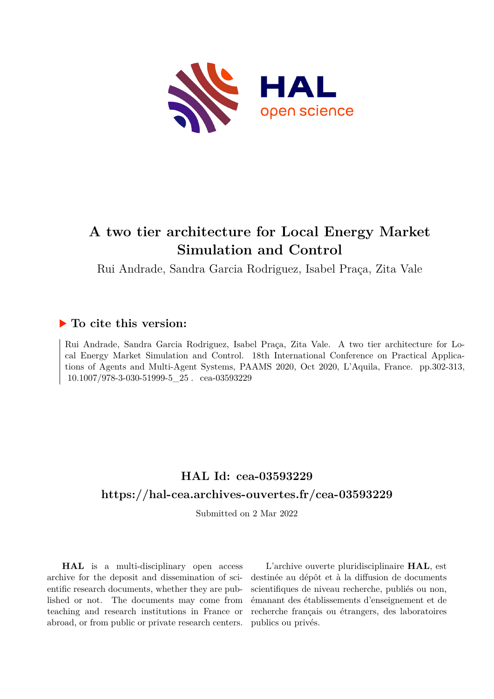

# **A two tier architecture for Local Energy Market Simulation and Control**

Rui Andrade, Sandra Garcia Rodriguez, Isabel Praça, Zita Vale

# **To cite this version:**

Rui Andrade, Sandra Garcia Rodriguez, Isabel Praça, Zita Vale. A two tier architecture for Local Energy Market Simulation and Control. 18th International Conference on Practical Applications of Agents and Multi-Agent Systems, PAAMS 2020, Oct 2020, L'Aquila, France. pp.302-313,  $10.1007/978-3-030-51999-5$  25 cea-03593229

# **HAL Id: cea-03593229 <https://hal-cea.archives-ouvertes.fr/cea-03593229>**

Submitted on 2 Mar 2022

**HAL** is a multi-disciplinary open access archive for the deposit and dissemination of scientific research documents, whether they are published or not. The documents may come from teaching and research institutions in France or abroad, or from public or private research centers.

L'archive ouverte pluridisciplinaire **HAL**, est destinée au dépôt et à la diffusion de documents scientifiques de niveau recherche, publiés ou non, émanant des établissements d'enseignement et de recherche français ou étrangers, des laboratoires publics ou privés.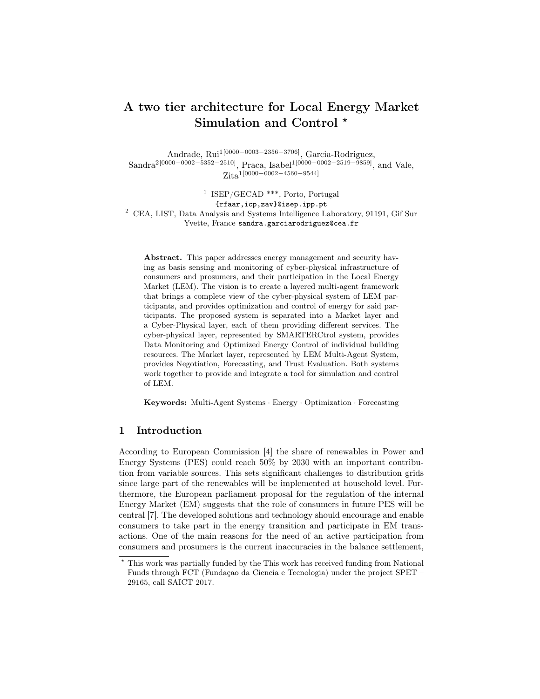# A two tier architecture for Local Energy Market Simulation and Control  $\star$

Andrade, Rui1[0000−0003−2356−3706], Garcia-Rodriguez, Sandra<sup>2</sup>[0000–0002–5352–2510], Praca, Isabel<sup>1</sup>[0000–0002–2519–9859], and Vale, Zita1[0000−0002−4560−9544]

<sup>1</sup> ISEP/GECAD \*\*\*, Porto, Portugal {rfaar,icp,zav}@isep.ipp.pt <sup>2</sup> CEA, LIST, Data Analysis and Systems Intelligence Laboratory, 91191, Gif Sur Yvette, France sandra.garciarodriguez@cea.fr

Abstract. This paper addresses energy management and security having as basis sensing and monitoring of cyber-physical infrastructure of consumers and prosumers, and their participation in the Local Energy Market (LEM). The vision is to create a layered multi-agent framework that brings a complete view of the cyber-physical system of LEM participants, and provides optimization and control of energy for said participants. The proposed system is separated into a Market layer and a Cyber-Physical layer, each of them providing different services. The cyber-physical layer, represented by SMARTERCtrol system, provides Data Monitoring and Optimized Energy Control of individual building resources. The Market layer, represented by LEM Multi-Agent System, provides Negotiation, Forecasting, and Trust Evaluation. Both systems work together to provide and integrate a tool for simulation and control of LEM.

Keywords: Multi-Agent Systems · Energy · Optimization · Forecasting

## 1 Introduction

According to European Commission [4] the share of renewables in Power and Energy Systems (PES) could reach 50% by 2030 with an important contribution from variable sources. This sets significant challenges to distribution grids since large part of the renewables will be implemented at household level. Furthermore, the European parliament proposal for the regulation of the internal Energy Market (EM) suggests that the role of consumers in future PES will be central [7]. The developed solutions and technology should encourage and enable consumers to take part in the energy transition and participate in EM transactions. One of the main reasons for the need of an active participation from consumers and prosumers is the current inaccuracies in the balance settlement,

<sup>?</sup> This work was partially funded by the This work has received funding from National Funds through FCT (Fundaçao da Ciencia e Tecnologia) under the project SPET – 29165, call SAICT 2017.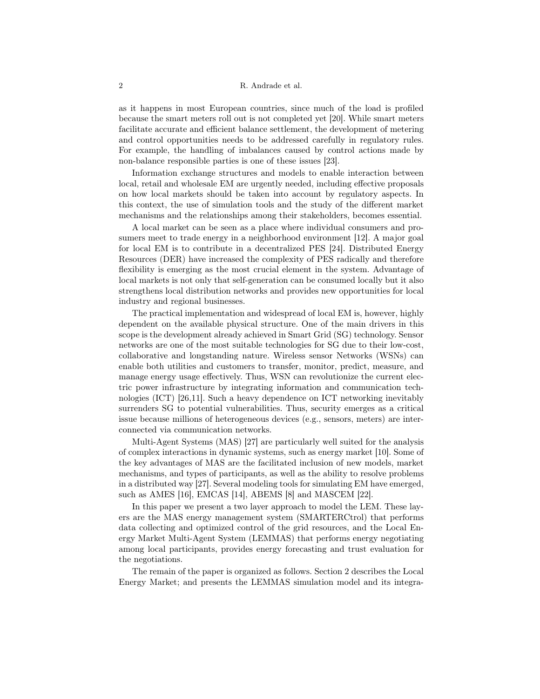#### 2 R. Andrade et al.

as it happens in most European countries, since much of the load is profiled because the smart meters roll out is not completed yet [20]. While smart meters facilitate accurate and efficient balance settlement, the development of metering and control opportunities needs to be addressed carefully in regulatory rules. For example, the handling of imbalances caused by control actions made by non-balance responsible parties is one of these issues [23].

Information exchange structures and models to enable interaction between local, retail and wholesale EM are urgently needed, including effective proposals on how local markets should be taken into account by regulatory aspects. In this context, the use of simulation tools and the study of the different market mechanisms and the relationships among their stakeholders, becomes essential.

A local market can be seen as a place where individual consumers and prosumers meet to trade energy in a neighborhood environment [12]. A major goal for local EM is to contribute in a decentralized PES [24]. Distributed Energy Resources (DER) have increased the complexity of PES radically and therefore flexibility is emerging as the most crucial element in the system. Advantage of local markets is not only that self-generation can be consumed locally but it also strengthens local distribution networks and provides new opportunities for local industry and regional businesses.

The practical implementation and widespread of local EM is, however, highly dependent on the available physical structure. One of the main drivers in this scope is the development already achieved in Smart Grid (SG) technology. Sensor networks are one of the most suitable technologies for SG due to their low-cost, collaborative and longstanding nature. Wireless sensor Networks (WSNs) can enable both utilities and customers to transfer, monitor, predict, measure, and manage energy usage effectively. Thus, WSN can revolutionize the current electric power infrastructure by integrating information and communication technologies (ICT) [26,11]. Such a heavy dependence on ICT networking inevitably surrenders SG to potential vulnerabilities. Thus, security emerges as a critical issue because millions of heterogeneous devices (e.g., sensors, meters) are interconnected via communication networks.

Multi-Agent Systems (MAS) [27] are particularly well suited for the analysis of complex interactions in dynamic systems, such as energy market [10]. Some of the key advantages of MAS are the facilitated inclusion of new models, market mechanisms, and types of participants, as well as the ability to resolve problems in a distributed way [27]. Several modeling tools for simulating EM have emerged, such as AMES [16], EMCAS [14], ABEMS [8] and MASCEM [22].

In this paper we present a two layer approach to model the LEM. These layers are the MAS energy management system (SMARTERCtrol) that performs data collecting and optimized control of the grid resources, and the Local Energy Market Multi-Agent System (LEMMAS) that performs energy negotiating among local participants, provides energy forecasting and trust evaluation for the negotiations.

The remain of the paper is organized as follows. Section 2 describes the Local Energy Market; and presents the LEMMAS simulation model and its integra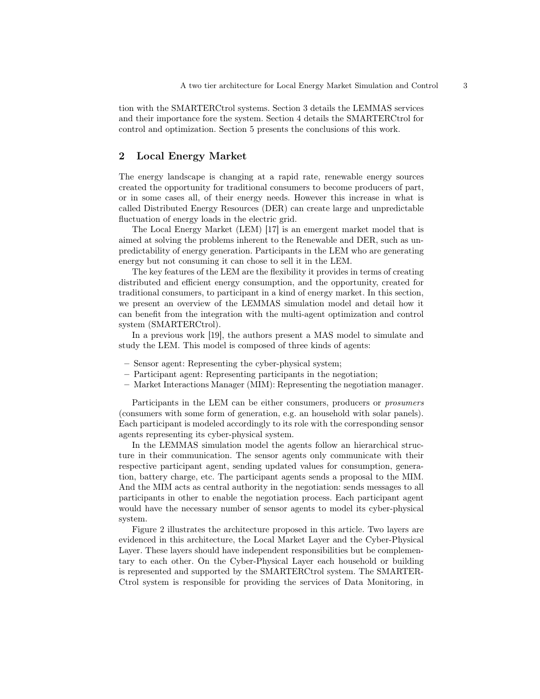tion with the SMARTERCtrol systems. Section 3 details the LEMMAS services and their importance fore the system. Section 4 details the SMARTERCtrol for control and optimization. Section 5 presents the conclusions of this work.

# 2 Local Energy Market

The energy landscape is changing at a rapid rate, renewable energy sources created the opportunity for traditional consumers to become producers of part, or in some cases all, of their energy needs. However this increase in what is called Distributed Energy Resources (DER) can create large and unpredictable fluctuation of energy loads in the electric grid.

The Local Energy Market (LEM) [17] is an emergent market model that is aimed at solving the problems inherent to the Renewable and DER, such as unpredictability of energy generation. Participants in the LEM who are generating energy but not consuming it can chose to sell it in the LEM.

The key features of the LEM are the flexibility it provides in terms of creating distributed and efficient energy consumption, and the opportunity, created for traditional consumers, to participant in a kind of energy market. In this section, we present an overview of the LEMMAS simulation model and detail how it can benefit from the integration with the multi-agent optimization and control system (SMARTERCtrol).

In a previous work [19], the authors present a MAS model to simulate and study the LEM. This model is composed of three kinds of agents:

- Sensor agent: Representing the cyber-physical system;
- Participant agent: Representing participants in the negotiation;
- Market Interactions Manager (MIM): Representing the negotiation manager.

Participants in the LEM can be either consumers, producers or prosumers (consumers with some form of generation, e.g. an household with solar panels). Each participant is modeled accordingly to its role with the corresponding sensor agents representing its cyber-physical system.

In the LEMMAS simulation model the agents follow an hierarchical structure in their communication. The sensor agents only communicate with their respective participant agent, sending updated values for consumption, generation, battery charge, etc. The participant agents sends a proposal to the MIM. And the MIM acts as central authority in the negotiation: sends messages to all participants in other to enable the negotiation process. Each participant agent would have the necessary number of sensor agents to model its cyber-physical system.

Figure 2 illustrates the architecture proposed in this article. Two layers are evidenced in this architecture, the Local Market Layer and the Cyber-Physical Layer. These layers should have independent responsibilities but be complementary to each other. On the Cyber-Physical Layer each household or building is represented and supported by the SMARTERCtrol system. The SMARTER-Ctrol system is responsible for providing the services of Data Monitoring, in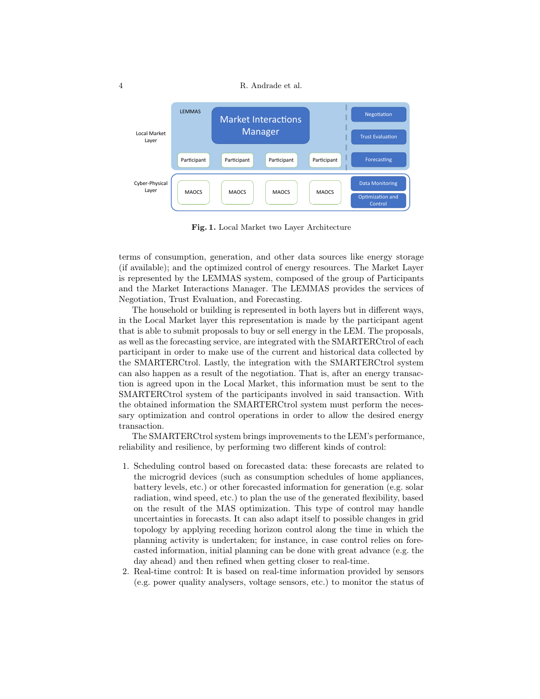```
4 R. Andrade et al.
```


Fig. 1. Local Market two Layer Architecture

terms of consumption, generation, and other data sources like energy storage (if available); and the optimized control of energy resources. The Market Layer is represented by the LEMMAS system, composed of the group of Participants and the Market Interactions Manager. The LEMMAS provides the services of Negotiation, Trust Evaluation, and Forecasting.

The household or building is represented in both layers but in different ways, in the Local Market layer this representation is made by the participant agent that is able to submit proposals to buy or sell energy in the LEM. The proposals, as well as the forecasting service, are integrated with the SMARTERCtrol of each participant in order to make use of the current and historical data collected by the SMARTERCtrol. Lastly, the integration with the SMARTERCtrol system can also happen as a result of the negotiation. That is, after an energy transaction is agreed upon in the Local Market, this information must be sent to the SMARTERCtrol system of the participants involved in said transaction. With the obtained information the SMARTERCtrol system must perform the necessary optimization and control operations in order to allow the desired energy transaction.

The SMARTERCtrol system brings improvements to the LEM's performance, reliability and resilience, by performing two different kinds of control:

- 1. Scheduling control based on forecasted data: these forecasts are related to the microgrid devices (such as consumption schedules of home appliances, battery levels, etc.) or other forecasted information for generation (e.g. solar radiation, wind speed, etc.) to plan the use of the generated flexibility, based on the result of the MAS optimization. This type of control may handle uncertainties in forecasts. It can also adapt itself to possible changes in grid topology by applying receding horizon control along the time in which the planning activity is undertaken; for instance, in case control relies on forecasted information, initial planning can be done with great advance (e.g. the day ahead) and then refined when getting closer to real-time.
- 2. Real-time control: It is based on real-time information provided by sensors (e.g. power quality analysers, voltage sensors, etc.) to monitor the status of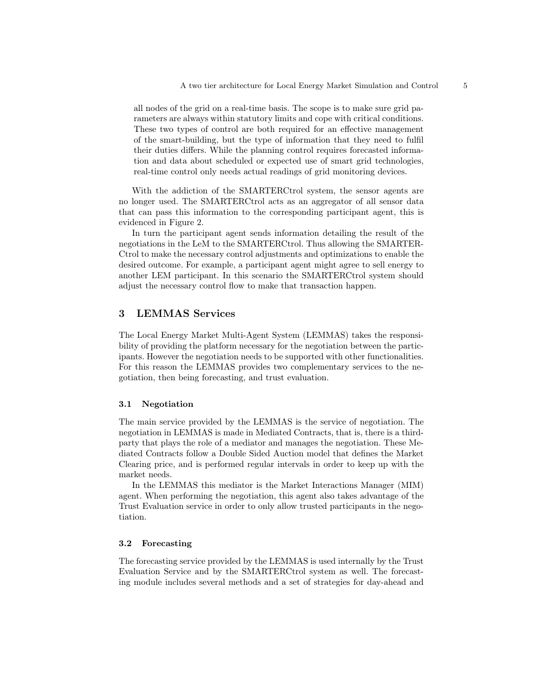all nodes of the grid on a real-time basis. The scope is to make sure grid parameters are always within statutory limits and cope with critical conditions. These two types of control are both required for an effective management of the smart-building, but the type of information that they need to fulfil their duties differs. While the planning control requires forecasted information and data about scheduled or expected use of smart grid technologies, real-time control only needs actual readings of grid monitoring devices.

With the addiction of the SMARTERCtrol system, the sensor agents are no longer used. The SMARTERCtrol acts as an aggregator of all sensor data that can pass this information to the corresponding participant agent, this is evidenced in Figure 2.

In turn the participant agent sends information detailing the result of the negotiations in the LeM to the SMARTERCtrol. Thus allowing the SMARTER-Ctrol to make the necessary control adjustments and optimizations to enable the desired outcome. For example, a participant agent might agree to sell energy to another LEM participant. In this scenario the SMARTERCtrol system should adjust the necessary control flow to make that transaction happen.

## 3 LEMMAS Services

The Local Energy Market Multi-Agent System (LEMMAS) takes the responsibility of providing the platform necessary for the negotiation between the participants. However the negotiation needs to be supported with other functionalities. For this reason the LEMMAS provides two complementary services to the negotiation, then being forecasting, and trust evaluation.

#### 3.1 Negotiation

The main service provided by the LEMMAS is the service of negotiation. The negotiation in LEMMAS is made in Mediated Contracts, that is, there is a thirdparty that plays the role of a mediator and manages the negotiation. These Mediated Contracts follow a Double Sided Auction model that defines the Market Clearing price, and is performed regular intervals in order to keep up with the market needs.

In the LEMMAS this mediator is the Market Interactions Manager (MIM) agent. When performing the negotiation, this agent also takes advantage of the Trust Evaluation service in order to only allow trusted participants in the negotiation.

#### 3.2 Forecasting

The forecasting service provided by the LEMMAS is used internally by the Trust Evaluation Service and by the SMARTERCtrol system as well. The forecasting module includes several methods and a set of strategies for day-ahead and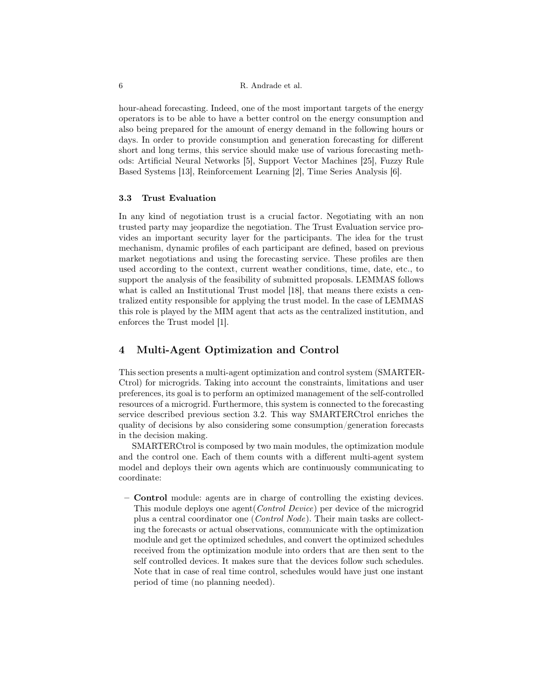#### 6 R. Andrade et al.

hour-ahead forecasting. Indeed, one of the most important targets of the energy operators is to be able to have a better control on the energy consumption and also being prepared for the amount of energy demand in the following hours or days. In order to provide consumption and generation forecasting for different short and long terms, this service should make use of various forecasting methods: Artificial Neural Networks [5], Support Vector Machines [25], Fuzzy Rule Based Systems [13], Reinforcement Learning [2], Time Series Analysis [6].

## 3.3 Trust Evaluation

In any kind of negotiation trust is a crucial factor. Negotiating with an non trusted party may jeopardize the negotiation. The Trust Evaluation service provides an important security layer for the participants. The idea for the trust mechanism, dynamic profiles of each participant are defined, based on previous market negotiations and using the forecasting service. These profiles are then used according to the context, current weather conditions, time, date, etc., to support the analysis of the feasibility of submitted proposals. LEMMAS follows what is called an Institutional Trust model [18], that means there exists a centralized entity responsible for applying the trust model. In the case of LEMMAS this role is played by the MIM agent that acts as the centralized institution, and enforces the Trust model [1].

# 4 Multi-Agent Optimization and Control

This section presents a multi-agent optimization and control system (SMARTER-Ctrol) for microgrids. Taking into account the constraints, limitations and user preferences, its goal is to perform an optimized management of the self-controlled resources of a microgrid. Furthermore, this system is connected to the forecasting service described previous section 3.2. This way SMARTERCtrol enriches the quality of decisions by also considering some consumption/generation forecasts in the decision making.

SMARTERCtrol is composed by two main modules, the optimization module and the control one. Each of them counts with a different multi-agent system model and deploys their own agents which are continuously communicating to coordinate:

– Control module: agents are in charge of controlling the existing devices. This module deploys one agent(*Control Device*) per device of the microgrid plus a central coordinator one (Control Node). Their main tasks are collecting the forecasts or actual observations, communicate with the optimization module and get the optimized schedules, and convert the optimized schedules received from the optimization module into orders that are then sent to the self controlled devices. It makes sure that the devices follow such schedules. Note that in case of real time control, schedules would have just one instant period of time (no planning needed).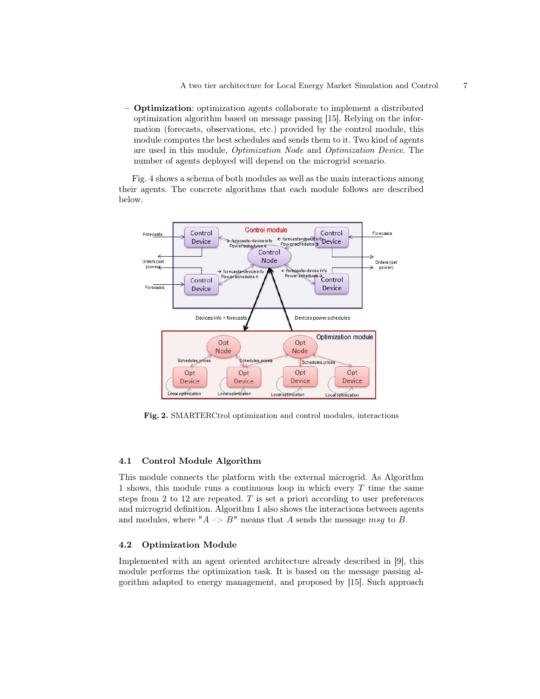– Optimization: optimization agents collaborate to implement a distributed optimization algorithm based on message passing [15]. Relying on the information (forecasts, observations, etc.) provided by the control module, this module computes the best schedules and sends them to it. Two kind of agents are used in this module, Optimization Node and Optimization Device. The number of agents deployed will depend on the microgrid scenario.

Fig. 4 shows a schema of both modules as well as the main interactions among their agents. The concrete algorithms that each module follows are described below.



Fig. 2. SMARTERCtrol optimization and control modules, interactions

#### 4.1 Control Module Algorithm

This module connects the platform with the external microgrid. As Algorithm 1 shows, this module runs a continuous loop in which every  $T$  time the same steps from 2 to 12 are repeated.  $T$  is set a priori according to user preferences and microgrid definition. Algorithm 1 also shows the interactions between agents and modules, where " $A \rightarrow B$ " means that A sends the message msg to B.

#### 4.2 Optimization Module

Implemented with an agent oriented architecture already described in [9], this module performs the optimization task. It is based on the message passing algorithm adapted to energy management, and proposed by [15]. Such approach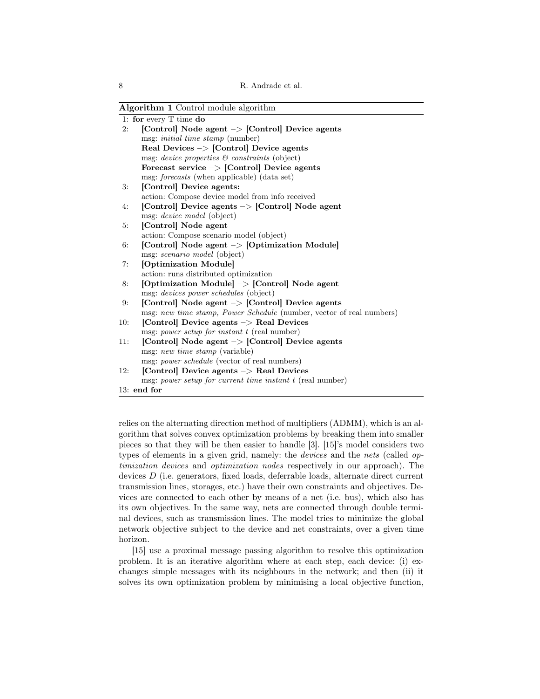Algorithm 1 Control module algorithm

|     | 1: for every $T$ time $d\mathbf{o}$                                  |
|-----|----------------------------------------------------------------------|
| 2:  | [Control] Node agent -> [Control] Device agents                      |
|     | msg: <i>initial time stamp</i> (number)                              |
|     | Real Devices -> [Control] Device agents                              |
|     | msg: device properties $\mathcal{B}$ constraints (object)            |
|     | Forecast service $\Rightarrow$ [Control] Device agents               |
|     | msg: <i>forecasts</i> (when applicable) (data set)                   |
| 3:  | [Control] Device agents:                                             |
|     | action: Compose device model from info received                      |
| 4:  | [Control] Device agents -> [Control] Node agent                      |
|     | msg: device model (object)                                           |
| 5:  | [Control] Node agent                                                 |
|     | action: Compose scenario model (object)                              |
| 6:  | [Control] Node agent -> [Optimization Module]                        |
|     | msg: <i>scenario model</i> (object)                                  |
| 7:  | [Optimization Module]                                                |
|     | action: runs distributed optimization                                |
| 8:  | [Optimization Module] -> [Control] Node agent                        |
|     | msg: devices power schedules (object)                                |
| 9:  | [Control] Node agent -> [Control] Device agents                      |
|     | msg: new time stamp, Power Schedule (number, vector of real numbers) |
| 10: | [Control] Device agents $\Rightarrow$ Real Devices                   |
|     | msg: power setup for instant $t$ (real number)                       |
| 11: | [Control] Node agent -> [Control] Device agents                      |
|     | msg: <i>new time stamp</i> (variable)                                |
|     | msg: power schedule (vector of real numbers)                         |
| 12: | [Control] Device agents $\rightarrow$ Real Devices                   |
|     | msg: power setup for current time instant $t$ (real number)          |
|     | $13:$ end for                                                        |

relies on the alternating direction method of multipliers (ADMM), which is an algorithm that solves convex optimization problems by breaking them into smaller pieces so that they will be then easier to handle [3]. [15]'s model considers two types of elements in a given grid, namely: the devices and the nets (called optimization devices and optimization nodes respectively in our approach). The devices  $D$  (i.e. generators, fixed loads, deferrable loads, alternate direct current transmission lines, storages, etc.) have their own constraints and objectives. Devices are connected to each other by means of a net (i.e. bus), which also has its own objectives. In the same way, nets are connected through double terminal devices, such as transmission lines. The model tries to minimize the global network objective subject to the device and net constraints, over a given time horizon.

[15] use a proximal message passing algorithm to resolve this optimization problem. It is an iterative algorithm where at each step, each device: (i) exchanges simple messages with its neighbours in the network; and then (ii) it solves its own optimization problem by minimising a local objective function,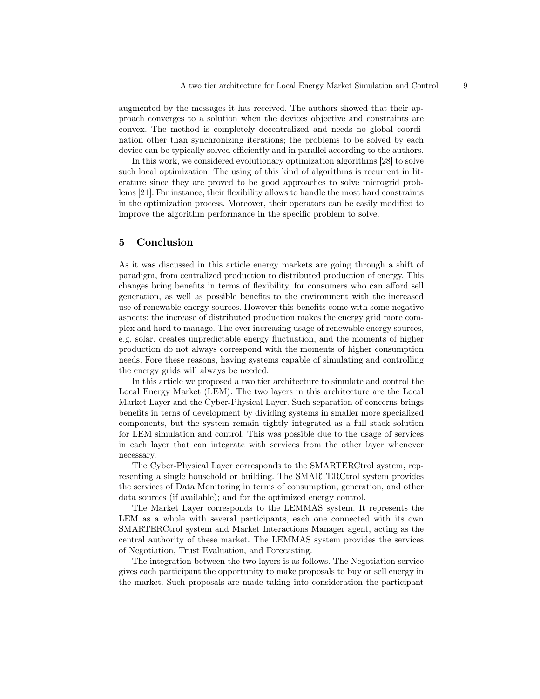augmented by the messages it has received. The authors showed that their approach converges to a solution when the devices objective and constraints are convex. The method is completely decentralized and needs no global coordination other than synchronizing iterations; the problems to be solved by each device can be typically solved efficiently and in parallel according to the authors.

In this work, we considered evolutionary optimization algorithms [28] to solve such local optimization. The using of this kind of algorithms is recurrent in literature since they are proved to be good approaches to solve microgrid problems [21]. For instance, their flexibility allows to handle the most hard constraints in the optimization process. Moreover, their operators can be easily modified to improve the algorithm performance in the specific problem to solve.

# 5 Conclusion

As it was discussed in this article energy markets are going through a shift of paradigm, from centralized production to distributed production of energy. This changes bring benefits in terms of flexibility, for consumers who can afford sell generation, as well as possible benefits to the environment with the increased use of renewable energy sources. However this benefits come with some negative aspects: the increase of distributed production makes the energy grid more complex and hard to manage. The ever increasing usage of renewable energy sources, e.g. solar, creates unpredictable energy fluctuation, and the moments of higher production do not always correspond with the moments of higher consumption needs. Fore these reasons, having systems capable of simulating and controlling the energy grids will always be needed.

In this article we proposed a two tier architecture to simulate and control the Local Energy Market (LEM). The two layers in this architecture are the Local Market Layer and the Cyber-Physical Layer. Such separation of concerns brings benefits in terns of development by dividing systems in smaller more specialized components, but the system remain tightly integrated as a full stack solution for LEM simulation and control. This was possible due to the usage of services in each layer that can integrate with services from the other layer whenever necessary.

The Cyber-Physical Layer corresponds to the SMARTERCtrol system, representing a single household or building. The SMARTERCtrol system provides the services of Data Monitoring in terms of consumption, generation, and other data sources (if available); and for the optimized energy control.

The Market Layer corresponds to the LEMMAS system. It represents the LEM as a whole with several participants, each one connected with its own SMARTERCtrol system and Market Interactions Manager agent, acting as the central authority of these market. The LEMMAS system provides the services of Negotiation, Trust Evaluation, and Forecasting.

The integration between the two layers is as follows. The Negotiation service gives each participant the opportunity to make proposals to buy or sell energy in the market. Such proposals are made taking into consideration the participant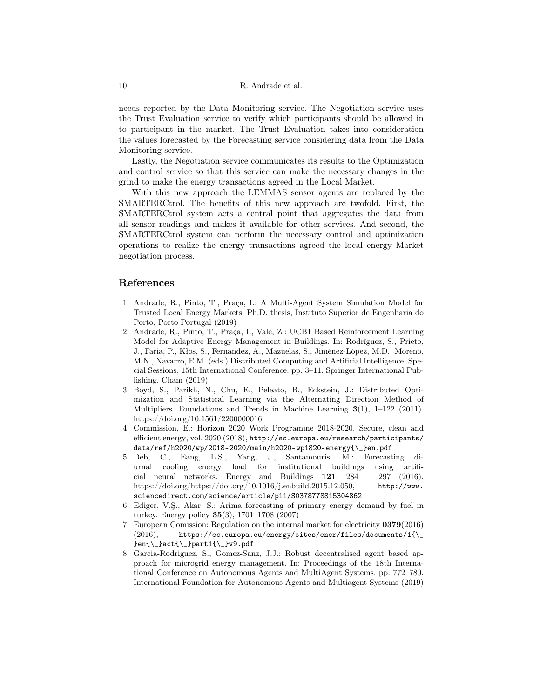needs reported by the Data Monitoring service. The Negotiation service uses the Trust Evaluation service to verify which participants should be allowed in to participant in the market. The Trust Evaluation takes into consideration the values forecasted by the Forecasting service considering data from the Data Monitoring service.

Lastly, the Negotiation service communicates its results to the Optimization and control service so that this service can make the necessary changes in the grind to make the energy transactions agreed in the Local Market.

With this new approach the LEMMAS sensor agents are replaced by the SMARTERCtrol. The benefits of this new approach are twofold. First, the SMARTERCtrol system acts a central point that aggregates the data from all sensor readings and makes it available for other services. And second, the SMARTERCtrol system can perform the necessary control and optimization operations to realize the energy transactions agreed the local energy Market negotiation process.

### References

- 1. Andrade, R., Pinto, T., Praça, I.: A Multi-Agent System Simulation Model for Trusted Local Energy Markets. Ph.D. thesis, Instituto Superior de Engenharia do Porto, Porto Portugal (2019)
- 2. Andrade, R., Pinto, T., Praça, I., Vale, Z.: UCB1 Based Reinforcement Learning Model for Adaptive Energy Management in Buildings. In: Rodríguez, S., Prieto, J., Faria, P., Kłos, S., Fernández, A., Mazuelas, S., Jiménez-López, M.D., Moreno, M.N., Navarro, E.M. (eds.) Distributed Computing and Artificial Intelligence, Special Sessions, 15th International Conference. pp. 3–11. Springer International Publishing, Cham (2019)
- 3. Boyd, S., Parikh, N., Chu, E., Peleato, B., Eckstein, J.: Distributed Optimization and Statistical Learning via the Alternating Direction Method of Multipliers. Foundations and Trends in Machine Learning  $3(1)$ ,  $1-122$  (2011). https://doi.org/10.1561/2200000016
- 4. Commission, E.: Horizon 2020 Work Programme 2018-2020. Secure, clean and efficient energy, vol. 2020 (2018), http://ec.europa.eu/research/participants/ data/ref/h2020/wp/2018-2020/main/h2020-wp1820-energy{\\_}en.pdf
- 5. Deb, C., Eang, L.S., Yang, J., Santamouris, M.: Forecasting diurnal cooling energy load for institutional buildings using artificial neural networks. Energy and Buildings 121, 284 – 297 (2016). https://doi.org/https://doi.org/10.1016/j.enbuild.2015.12.050, http://www. sciencedirect.com/science/article/pii/S0378778815304862
- 6. Ediger, V.Ş., Akar, S.: Arima forecasting of primary energy demand by fuel in turkey. Energy policy 35(3), 1701–1708 (2007)
- 7. European Comission: Regulation on the internal market for electricity 0379(2016)  $(2016)$ , https://ec.europa.eu/energy/sites/ener/files/documents/1{\\_ }en{\\_}act{\\_}part1{\\_}v9.pdf
- 8. Garcia-Rodriguez, S., Gomez-Sanz, J.J.: Robust decentralised agent based approach for microgrid energy management. In: Proceedings of the 18th International Conference on Autonomous Agents and MultiAgent Systems. pp. 772–780. International Foundation for Autonomous Agents and Multiagent Systems (2019)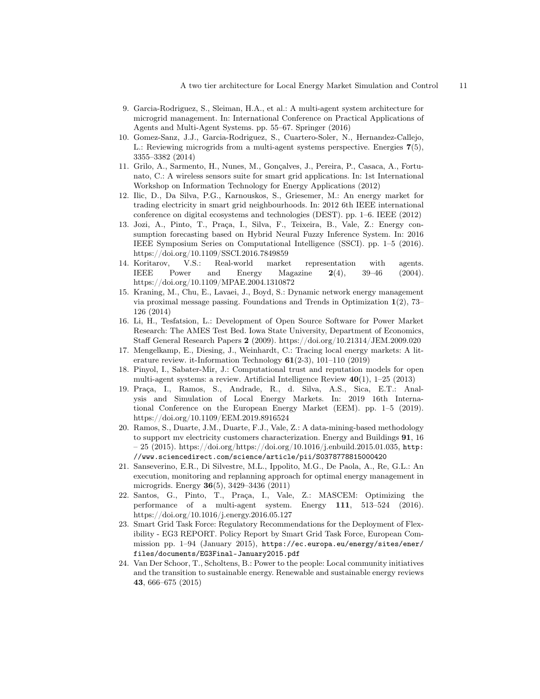- 9. Garcia-Rodriguez, S., Sleiman, H.A., et al.: A multi-agent system architecture for microgrid management. In: International Conference on Practical Applications of Agents and Multi-Agent Systems. pp. 55–67. Springer (2016)
- 10. Gomez-Sanz, J.J., Garcia-Rodriguez, S., Cuartero-Soler, N., Hernandez-Callejo, L.: Reviewing microgrids from a multi-agent systems perspective. Energies 7(5), 3355–3382 (2014)
- 11. Grilo, A., Sarmento, H., Nunes, M., Gonçalves, J., Pereira, P., Casaca, A., Fortunato, C.: A wireless sensors suite for smart grid applications. In: 1st International Workshop on Information Technology for Energy Applications (2012)
- 12. Ilic, D., Da Silva, P.G., Karnouskos, S., Griesemer, M.: An energy market for trading electricity in smart grid neighbourhoods. In: 2012 6th IEEE international conference on digital ecosystems and technologies (DEST). pp. 1–6. IEEE (2012)
- 13. Jozi, A., Pinto, T., Praça, I., Silva, F., Teixeira, B., Vale, Z.: Energy consumption forecasting based on Hybrid Neural Fuzzy Inference System. In: 2016 IEEE Symposium Series on Computational Intelligence (SSCI). pp. 1–5 (2016). https://doi.org/10.1109/SSCI.2016.7849859
- 14. Koritarov, V.S.: Real-world market representation with agents. IEEE Power and Energy Magazine 2(4), 39–46 (2004). https://doi.org/10.1109/MPAE.2004.1310872
- 15. Kraning, M., Chu, E., Lavaei, J., Boyd, S.: Dynamic network energy management via proximal message passing. Foundations and Trends in Optimization  $1(2)$ , 73– 126 (2014)
- 16. Li, H., Tesfatsion, L.: Development of Open Source Software for Power Market Research: The AMES Test Bed. Iowa State University, Department of Economics, Staff General Research Papers 2 (2009). https://doi.org/10.21314/JEM.2009.020
- 17. Mengelkamp, E., Diesing, J., Weinhardt, C.: Tracing local energy markets: A literature review. it-Information Technology  $61(2-3)$ , 101–110 (2019)
- 18. Pinyol, I., Sabater-Mir, J.: Computational trust and reputation models for open multi-agent systems: a review. Artificial Intelligence Review 40(1), 1–25 (2013)
- 19. Praça, I., Ramos, S., Andrade, R., d. Silva, A.S., Sica, E.T.: Analysis and Simulation of Local Energy Markets. In: 2019 16th International Conference on the European Energy Market (EEM). pp. 1–5 (2019). https://doi.org/10.1109/EEM.2019.8916524
- 20. Ramos, S., Duarte, J.M., Duarte, F.J., Vale, Z.: A data-mining-based methodology to support mv electricity customers characterization. Energy and Buildings 91, 16  $-25$  (2015). https://doi.org/https://doi.org/10.1016/j.enbuild.2015.01.035, http: //www.sciencedirect.com/science/article/pii/S0378778815000420
- 21. Sanseverino, E.R., Di Silvestre, M.L., Ippolito, M.G., De Paola, A., Re, G.L.: An execution, monitoring and replanning approach for optimal energy management in microgrids. Energy 36(5), 3429–3436 (2011)
- 22. Santos, G., Pinto, T., Praça, I., Vale, Z.: MASCEM: Optimizing the performance of a multi-agent system. Energy 111, 513–524 (2016). https://doi.org/10.1016/j.energy.2016.05.127
- 23. Smart Grid Task Force: Regulatory Recommendations for the Deployment of Flexibility - EG3 REPORT. Policy Report by Smart Grid Task Force, European Commission pp. 1–94 (January 2015), https://ec.europa.eu/energy/sites/ener/ files/documents/EG3Final-January2015.pdf
- 24. Van Der Schoor, T., Scholtens, B.: Power to the people: Local community initiatives and the transition to sustainable energy. Renewable and sustainable energy reviews 43, 666–675 (2015)